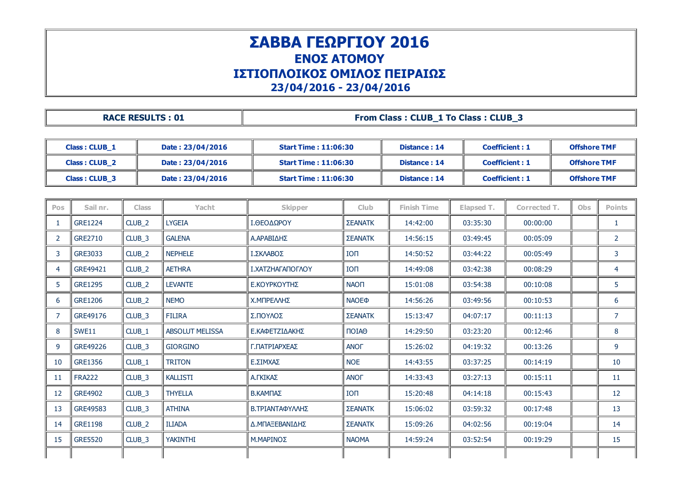## ΣΑΒΒΑ ΓΕΩΡΓΙΟΥ 2016 ΕΝΟΣ ΑΤΟΜΟΥ ΙΣΤΙΟΠΛΟΙΚΟΣ ΟΜΙΛΟΣ ΠΕΙΡΑΙΩΣ 23/04/2016 23/04/2016

## RACE RESULTS : 01  $\parallel$  From Class : CLUB\_1 To Class : CLUB\_3

| Class: CLUB_1        |                      |                   | Date: 23/04/2016       | <b>Start Time: 11:06:30</b> |                   | Distance: 14        |            | <b>Coefficient: 1</b> |  | <b>Offshore TMF</b> |                |
|----------------------|----------------------|-------------------|------------------------|-----------------------------|-------------------|---------------------|------------|-----------------------|--|---------------------|----------------|
|                      | <b>Class: CLUB_2</b> |                   | Date: 23/04/2016       | <b>Start Time: 11:06:30</b> |                   | <b>Distance: 14</b> |            | <b>Coefficient: 1</b> |  | <b>Offshore TMF</b> |                |
| <b>Class: CLUB 3</b> |                      |                   | Date: 23/04/2016       | <b>Start Time: 11:06:30</b> |                   | <b>Distance: 14</b> |            | <b>Coefficient: 1</b> |  | <b>Offshore TMF</b> |                |
|                      |                      |                   |                        |                             |                   |                     |            |                       |  |                     |                |
| <b>Pos</b>           | Sail nr.             | <b>Class</b>      | Yacht                  | Skipper                     | <b>Club</b>       | <b>Finish Time</b>  | Elapsed T. | Corrected T.          |  | Obs                 | <b>Points</b>  |
| 1                    | <b>GRE1224</b>       | CLUB <sub>2</sub> | <b>LYGEIA</b>          | Ι.ΘΕΟΔΩΡΟΥ                  | ΣΕΑΝΑΤΚ           | 14:42:00            | 03:35:30   | 00:00:00              |  |                     | $\mathbf{1}$   |
| 2                    | GRE2710              | CLUB_3            | <b>GALENA</b>          | Α.ΑΡΑΒΙΔΗΣ                  | <b>ΣΕΑΝΑΤΚ</b>    | 14:56:15            | 03:49:45   | 00:05:09              |  |                     | $\overline{2}$ |
| 3                    | GRE3033              | CLUB_2            | <b>NEPHELE</b>         | Ι.ΣΚΛΑΒΟΣ                   | <b>ION</b>        | 14:50:52            | 03:44:22   | 00:05:49              |  |                     | 3              |
| 4                    | GRE49421             | CLUB_2            | <b>AETHRA</b>          | Ι.ΧΑΤΖΗΑΓΑΠΟΓΛΟΥ            | <b>ION</b>        | 14:49:08            | 03:42:38   | 00:08:29              |  |                     | 4              |
| 5                    | <b>GRE1295</b>       | CLUB <sub>2</sub> | <b>LEVANTE</b>         | Ε.ΚΟΥΡΚΟΥΤΗΣ                | <b>NAON</b>       | 15:01:08            | 03:54:38   | 00:10:08              |  |                     | 5              |
| 6                    | <b>GRE1206</b>       | CLUB <sub>2</sub> | <b>NEMO</b>            | Χ.ΜΠΡΕΛΛΗΣ                  | <b>NAOE®</b>      | 14:56:26            | 03:49:56   | 00:10:53              |  |                     | 6              |
| 7                    | GRE49176             | CLUB_3            | <b>FILIRA</b>          | Σ.ΠΟΥΛΟΣ                    | ΣΕΑΝΑΤΚ           | 15:13:47            | 04:07:17   | 00:11:13              |  |                     | $\overline{7}$ |
| 8                    | SWE11                | CLUB_1            | <b>ABSOLUT MELISSA</b> | Ε.ΚΑΦΕΤΖΙΔΑΚΗΣ              | $\P$ OIA $\Theta$ | 14:29:50            | 03:23:20   | 00:12:46              |  |                     | 8              |
| 9                    | GRE49226             | CLUB <sub>3</sub> | <b>GIORGINO</b>        | Γ.ΠΑΤΡΙΑΡΧΕΑΣ               | <b>ANOF</b>       | 15:26:02            | 04:19:32   | 00:13:26              |  |                     | 9              |
| 10                   | GRE1356              | CLUB_1            | <b>TRITON</b>          | Ε.ΣΙΜΧΑΣ                    | <b>NOE</b>        | 14:43:55            | 03:37:25   | 00:14:19              |  |                     | 10             |
| 11                   | <b>FRA222</b>        | CLUB_3            | <b>KALLISTI</b>        | Α.ΓΚΙΚΑΣ                    | <b>ANOF</b>       | 14:33:43            | 03:27:13   | 00:15:11              |  |                     | 11             |
| 12                   | <b>GRE4902</b>       | CLUB <sub>3</sub> | <b>THYELLA</b>         | Β.ΚΑΜΠΑΣ                    | <b>ION</b>        | 15:20:48            | 04:14:18   | 00:15:43              |  |                     | 12             |
| 13                   | GRE49583             | CLUB_3            | <b>ATHINA</b>          | Β.ΤΡΙΑΝΤΑΦΥΛΛΗΣ             | ΣΕΑΝΑΤΚ           | 15:06:02            | 03:59:32   | 00:17:48              |  |                     | 13             |
| 14                   | <b>GRE1198</b>       | CLUB_2            | <b>ILIADA</b>          | Δ.ΜΠΑΞΕΒΑΝΙΔΗΣ              | <b>ΣΕΑΝΑΤΚ</b>    | 15:09:26            | 04:02:56   | 00:19:04              |  |                     | 14             |
| 15                   | <b>GRE5520</b>       | CLUB_3            | <b>YAKINTHI</b>        | Μ.ΜΑΡΙΝΟΣ                   | <b>NAOMA</b>      | 14:59:24            | 03:52:54   | 00:19:29              |  |                     | 15             |
|                      |                      |                   |                        |                             |                   |                     |            |                       |  |                     |                |